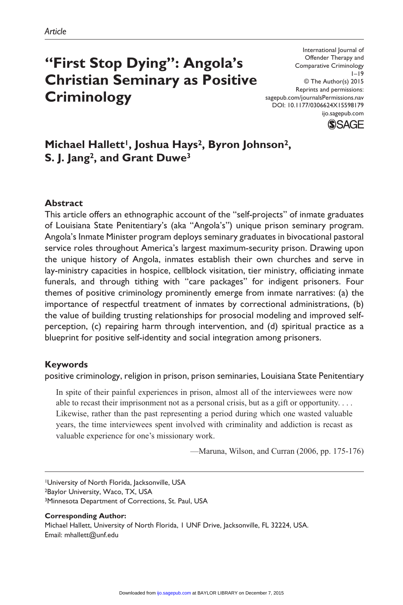# **"First Stop Dying": Angola's Christian Seminary as Positive Criminology**

International Journal of Offender Therapy and Comparative Criminology  $1 - 19$ © The Author(s) 2015 Reprints and permissions: sagepub.com/journalsPermissions.nav DOI: 10.1177/0306624X15598179 ijo.sagepub.com



# Michael Hallett<sup>1</sup>, Joshua Hays<sup>2</sup>, Byron Johnson<sup>2</sup>, **S. J. Jang2, and Grant Duwe3**

#### **Abstract**

This article offers an ethnographic account of the "self-projects" of inmate graduates of Louisiana State Penitentiary's (aka "Angola's") unique prison seminary program. Angola's Inmate Minister program deploys seminary graduates in bivocational pastoral service roles throughout America's largest maximum-security prison. Drawing upon the unique history of Angola, inmates establish their own churches and serve in lay-ministry capacities in hospice, cellblock visitation, tier ministry, officiating inmate funerals, and through tithing with "care packages" for indigent prisoners. Four themes of positive criminology prominently emerge from inmate narratives: (a) the importance of respectful treatment of inmates by correctional administrations, (b) the value of building trusting relationships for prosocial modeling and improved selfperception, (c) repairing harm through intervention, and (d) spiritual practice as a blueprint for positive self-identity and social integration among prisoners.

#### **Keywords**

positive criminology, religion in prison, prison seminaries, Louisiana State Penitentiary

In spite of their painful experiences in prison, almost all of the interviewees were now able to recast their imprisonment not as a personal crisis, but as a gift or opportunity. . . . Likewise, rather than the past representing a period during which one wasted valuable years, the time interviewees spent involved with criminality and addiction is recast as valuable experience for one's missionary work.

—Maruna, Wilson, and Curran (2006, pp. 175-176)

1University of North Florida, Jacksonville, USA 2Baylor University, Waco, TX, USA 3Minnesota Department of Corrections, St. Paul, USA

**Corresponding Author:** Michael Hallett, University of North Florida, 1 UNF Drive, Jacksonville, FL 32224, USA. Email: [mhallett@unf.edu](mailto:mhallett@unf.edu)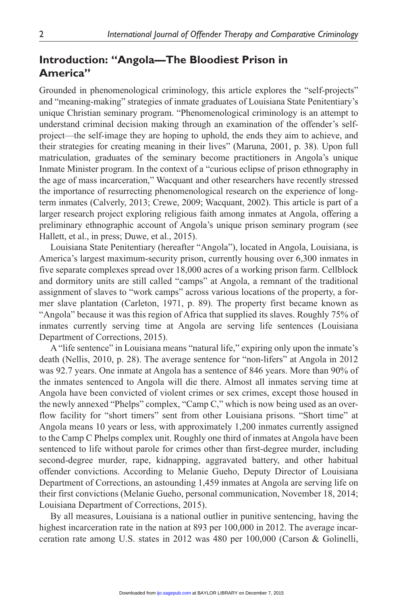# **Introduction: "Angola—The Bloodiest Prison in America"**

Grounded in phenomenological criminology, this article explores the "self-projects" and "meaning-making" strategies of inmate graduates of Louisiana State Penitentiary's unique Christian seminary program. "Phenomenological criminology is an attempt to understand criminal decision making through an examination of the offender's selfproject—the self-image they are hoping to uphold, the ends they aim to achieve, and their strategies for creating meaning in their lives" (Maruna, 2001, p. 38). Upon full matriculation, graduates of the seminary become practitioners in Angola's unique Inmate Minister program. In the context of a "curious eclipse of prison ethnography in the age of mass incarceration," Wacquant and other researchers have recently stressed the importance of resurrecting phenomenological research on the experience of longterm inmates (Calverly, 2013; Crewe, 2009; Wacquant, 2002). This article is part of a larger research project exploring religious faith among inmates at Angola, offering a preliminary ethnographic account of Angola's unique prison seminary program (see Hallett, et al., in press; Duwe, et al., 2015).

Louisiana State Penitentiary (hereafter "Angola"), located in Angola, Louisiana, is America's largest maximum-security prison, currently housing over 6,300 inmates in five separate complexes spread over 18,000 acres of a working prison farm. Cellblock and dormitory units are still called "camps" at Angola, a remnant of the traditional assignment of slaves to "work camps" across various locations of the property, a former slave plantation (Carleton, 1971, p. 89). The property first became known as "Angola" because it was this region of Africa that supplied its slaves. Roughly 75% of inmates currently serving time at Angola are serving life sentences (Louisiana Department of Corrections, 2015).

A "life sentence" in Louisiana means "natural life," expiring only upon the inmate's death (Nellis, 2010, p. 28). The average sentence for "non-lifers" at Angola in 2012 was 92.7 years. One inmate at Angola has a sentence of 846 years. More than 90% of the inmates sentenced to Angola will die there. Almost all inmates serving time at Angola have been convicted of violent crimes or sex crimes, except those housed in the newly annexed "Phelps" complex, "Camp C," which is now being used as an overflow facility for "short timers" sent from other Louisiana prisons. "Short time" at Angola means 10 years or less, with approximately 1,200 inmates currently assigned to the Camp C Phelps complex unit. Roughly one third of inmates at Angola have been sentenced to life without parole for crimes other than first-degree murder, including second-degree murder, rape, kidnapping, aggravated battery, and other habitual offender convictions. According to Melanie Gueho, Deputy Director of Louisiana Department of Corrections, an astounding 1,459 inmates at Angola are serving life on their first convictions (Melanie Gueho, personal communication, November 18, 2014; Louisiana Department of Corrections, 2015).

By all measures, Louisiana is a national outlier in punitive sentencing, having the highest incarceration rate in the nation at 893 per 100,000 in 2012. The average incarceration rate among U.S. states in 2012 was 480 per 100,000 (Carson & Golinelli,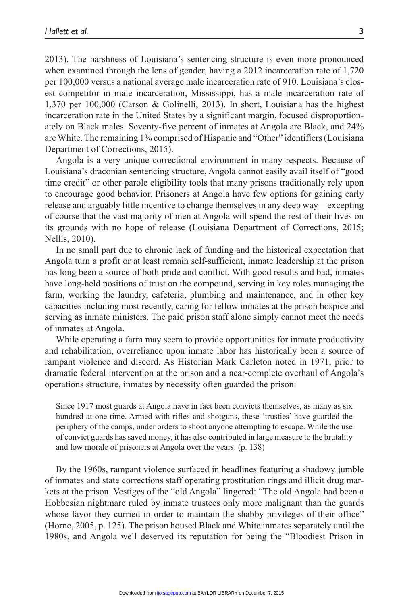2013). The harshness of Louisiana's sentencing structure is even more pronounced when examined through the lens of gender, having a 2012 incarceration rate of 1,720 per 100,000 versus a national average male incarceration rate of 910. Louisiana's closest competitor in male incarceration, Mississippi, has a male incarceration rate of 1,370 per 100,000 (Carson & Golinelli, 2013). In short, Louisiana has the highest incarceration rate in the United States by a significant margin, focused disproportionately on Black males. Seventy-five percent of inmates at Angola are Black, and 24% are White. The remaining 1% comprised of Hispanic and "Other" identifiers (Louisiana Department of Corrections, 2015).

Angola is a very unique correctional environment in many respects. Because of Louisiana's draconian sentencing structure, Angola cannot easily avail itself of "good time credit" or other parole eligibility tools that many prisons traditionally rely upon to encourage good behavior. Prisoners at Angola have few options for gaining early release and arguably little incentive to change themselves in any deep way—excepting of course that the vast majority of men at Angola will spend the rest of their lives on its grounds with no hope of release (Louisiana Department of Corrections, 2015; Nellis, 2010).

In no small part due to chronic lack of funding and the historical expectation that Angola turn a profit or at least remain self-sufficient, inmate leadership at the prison has long been a source of both pride and conflict. With good results and bad, inmates have long-held positions of trust on the compound, serving in key roles managing the farm, working the laundry, cafeteria, plumbing and maintenance, and in other key capacities including most recently, caring for fellow inmates at the prison hospice and serving as inmate ministers. The paid prison staff alone simply cannot meet the needs of inmates at Angola.

While operating a farm may seem to provide opportunities for inmate productivity and rehabilitation, overreliance upon inmate labor has historically been a source of rampant violence and discord. As Historian Mark Carleton noted in 1971, prior to dramatic federal intervention at the prison and a near-complete overhaul of Angola's operations structure, inmates by necessity often guarded the prison:

Since 1917 most guards at Angola have in fact been convicts themselves, as many as six hundred at one time. Armed with rifles and shotguns, these 'trusties' have guarded the periphery of the camps, under orders to shoot anyone attempting to escape. While the use of convict guards has saved money, it has also contributed in large measure to the brutality and low morale of prisoners at Angola over the years. (p. 138)

By the 1960s, rampant violence surfaced in headlines featuring a shadowy jumble of inmates and state corrections staff operating prostitution rings and illicit drug markets at the prison. Vestiges of the "old Angola" lingered: "The old Angola had been a Hobbesian nightmare ruled by inmate trustees only more malignant than the guards whose favor they curried in order to maintain the shabby privileges of their office" (Horne, 2005, p. 125). The prison housed Black and White inmates separately until the 1980s, and Angola well deserved its reputation for being the "Bloodiest Prison in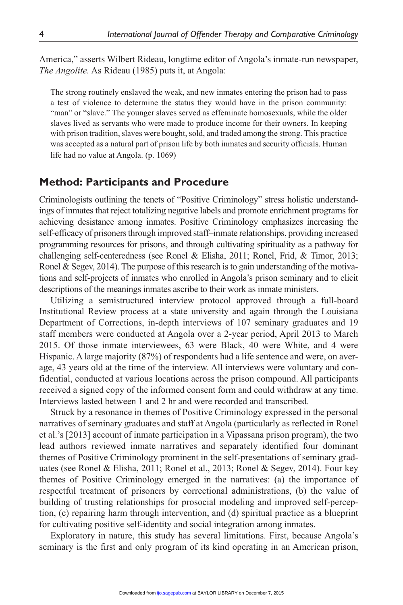America," asserts Wilbert Rideau, longtime editor of Angola's inmate-run newspaper, *The Angolite.* As Rideau (1985) puts it, at Angola:

The strong routinely enslaved the weak, and new inmates entering the prison had to pass a test of violence to determine the status they would have in the prison community: "man" or "slave." The younger slaves served as effeminate homosexuals, while the older slaves lived as servants who were made to produce income for their owners. In keeping with prison tradition, slaves were bought, sold, and traded among the strong. This practice was accepted as a natural part of prison life by both inmates and security officials. Human life had no value at Angola. (p. 1069)

#### **Method: Participants and Procedure**

Criminologists outlining the tenets of "Positive Criminology" stress holistic understandings of inmates that reject totalizing negative labels and promote enrichment programs for achieving desistance among inmates. Positive Criminology emphasizes increasing the self-efficacy of prisoners through improved staff–inmate relationships, providing increased programming resources for prisons, and through cultivating spirituality as a pathway for challenging self-centeredness (see Ronel & Elisha, 2011; Ronel, Frid, & Timor, 2013; Ronel & Segev, 2014). The purpose of this research is to gain understanding of the motivations and self-projects of inmates who enrolled in Angola's prison seminary and to elicit descriptions of the meanings inmates ascribe to their work as inmate ministers.

Utilizing a semistructured interview protocol approved through a full-board Institutional Review process at a state university and again through the Louisiana Department of Corrections, in-depth interviews of 107 seminary graduates and 19 staff members were conducted at Angola over a 2-year period, April 2013 to March 2015. Of those inmate interviewees, 63 were Black, 40 were White, and 4 were Hispanic. A large majority (87%) of respondents had a life sentence and were, on average, 43 years old at the time of the interview. All interviews were voluntary and confidential, conducted at various locations across the prison compound. All participants received a signed copy of the informed consent form and could withdraw at any time. Interviews lasted between 1 and 2 hr and were recorded and transcribed.

Struck by a resonance in themes of Positive Criminology expressed in the personal narratives of seminary graduates and staff at Angola (particularly as reflected in Ronel et al.'s [2013] account of inmate participation in a Vipassana prison program), the two lead authors reviewed inmate narratives and separately identified four dominant themes of Positive Criminology prominent in the self-presentations of seminary graduates (see Ronel & Elisha, 2011; Ronel et al., 2013; Ronel & Segev, 2014). Four key themes of Positive Criminology emerged in the narratives: (a) the importance of respectful treatment of prisoners by correctional administrations, (b) the value of building of trusting relationships for prosocial modeling and improved self-perception, (c) repairing harm through intervention, and (d) spiritual practice as a blueprint for cultivating positive self-identity and social integration among inmates.

Exploratory in nature, this study has several limitations. First, because Angola's seminary is the first and only program of its kind operating in an American prison,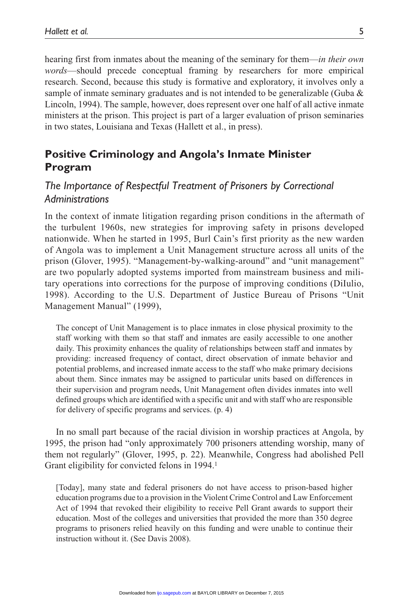hearing first from inmates about the meaning of the seminary for them—*in their own words*—should precede conceptual framing by researchers for more empirical research. Second, because this study is formative and exploratory, it involves only a sample of inmate seminary graduates and is not intended to be generalizable (Guba  $\&$ Lincoln, 1994). The sample, however, does represent over one half of all active inmate ministers at the prison. This project is part of a larger evaluation of prison seminaries in two states, Louisiana and Texas (Hallett et al., in press).

# **Positive Criminology and Angola's Inmate Minister Program**

### *The Importance of Respectful Treatment of Prisoners by Correctional Administrations*

In the context of inmate litigation regarding prison conditions in the aftermath of the turbulent 1960s, new strategies for improving safety in prisons developed nationwide. When he started in 1995, Burl Cain's first priority as the new warden of Angola was to implement a Unit Management structure across all units of the prison (Glover, 1995). "Management-by-walking-around" and "unit management" are two popularly adopted systems imported from mainstream business and military operations into corrections for the purpose of improving conditions (DiIulio, 1998). According to the U.S. Department of Justice Bureau of Prisons "Unit Management Manual" (1999),

The concept of Unit Management is to place inmates in close physical proximity to the staff working with them so that staff and inmates are easily accessible to one another daily. This proximity enhances the quality of relationships between staff and inmates by providing: increased frequency of contact, direct observation of inmate behavior and potential problems, and increased inmate access to the staff who make primary decisions about them. Since inmates may be assigned to particular units based on differences in their supervision and program needs, Unit Management often divides inmates into well defined groups which are identified with a specific unit and with staff who are responsible for delivery of specific programs and services. (p. 4)

In no small part because of the racial division in worship practices at Angola, by 1995, the prison had "only approximately 700 prisoners attending worship, many of them not regularly" (Glover, 1995, p. 22). Meanwhile, Congress had abolished Pell Grant eligibility for convicted felons in 1994.<sup>1</sup>

[Today], many state and federal prisoners do not have access to prison-based higher education programs due to a provision in the Violent Crime Control and Law Enforcement Act of 1994 that revoked their eligibility to receive Pell Grant awards to support their education. Most of the colleges and universities that provided the more than 350 degree programs to prisoners relied heavily on this funding and were unable to continue their instruction without it. (See Davis 2008).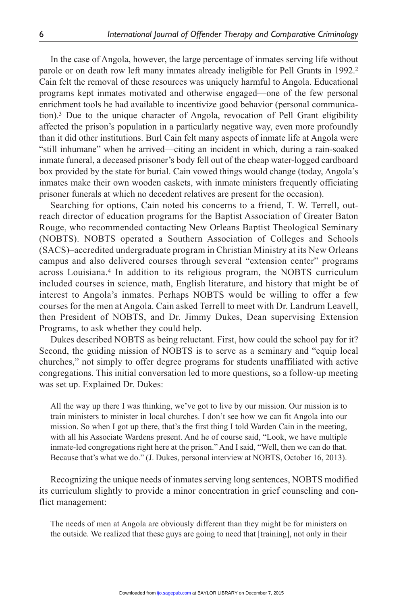In the case of Angola, however, the large percentage of inmates serving life without parole or on death row left many inmates already ineligible for Pell Grants in 1992.<sup>2</sup> Cain felt the removal of these resources was uniquely harmful to Angola. Educational programs kept inmates motivated and otherwise engaged—one of the few personal enrichment tools he had available to incentivize good behavior (personal communication).3 Due to the unique character of Angola, revocation of Pell Grant eligibility affected the prison's population in a particularly negative way, even more profoundly than it did other institutions. Burl Cain felt many aspects of inmate life at Angola were "still inhumane" when he arrived—citing an incident in which, during a rain-soaked inmate funeral, a deceased prisoner's body fell out of the cheap water-logged cardboard box provided by the state for burial. Cain vowed things would change (today, Angola's inmates make their own wooden caskets, with inmate ministers frequently officiating prisoner funerals at which no decedent relatives are present for the occasion).

Searching for options, Cain noted his concerns to a friend, T. W. Terrell, outreach director of education programs for the Baptist Association of Greater Baton Rouge, who recommended contacting New Orleans Baptist Theological Seminary (NOBTS). NOBTS operated a Southern Association of Colleges and Schools (SACS)–accredited undergraduate program in Christian Ministry at its New Orleans campus and also delivered courses through several "extension center" programs across Louisiana.4 In addition to its religious program, the NOBTS curriculum included courses in science, math, English literature, and history that might be of interest to Angola's inmates. Perhaps NOBTS would be willing to offer a few courses for the men at Angola. Cain asked Terrell to meet with Dr. Landrum Leavell, then President of NOBTS, and Dr. Jimmy Dukes, Dean supervising Extension Programs, to ask whether they could help.

Dukes described NOBTS as being reluctant. First, how could the school pay for it? Second, the guiding mission of NOBTS is to serve as a seminary and "equip local churches," not simply to offer degree programs for students unaffiliated with active congregations. This initial conversation led to more questions, so a follow-up meeting was set up. Explained Dr. Dukes:

All the way up there I was thinking, we've got to live by our mission. Our mission is to train ministers to minister in local churches. I don't see how we can fit Angola into our mission. So when I got up there, that's the first thing I told Warden Cain in the meeting, with all his Associate Wardens present. And he of course said, "Look, we have multiple inmate-led congregations right here at the prison." And I said, "Well, then we can do that. Because that's what we do." (J. Dukes, personal interview at NOBTS, October 16, 2013).

Recognizing the unique needs of inmates serving long sentences, NOBTS modified its curriculum slightly to provide a minor concentration in grief counseling and conflict management:

The needs of men at Angola are obviously different than they might be for ministers on the outside. We realized that these guys are going to need that [training], not only in their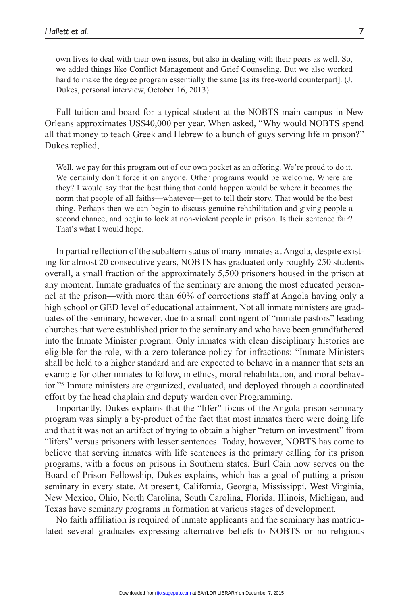own lives to deal with their own issues, but also in dealing with their peers as well. So, we added things like Conflict Management and Grief Counseling. But we also worked hard to make the degree program essentially the same [as its free-world counterpart]. (J. Dukes, personal interview, October 16, 2013)

Full tuition and board for a typical student at the NOBTS main campus in New Orleans approximates US\$40,000 per year. When asked, "Why would NOBTS spend all that money to teach Greek and Hebrew to a bunch of guys serving life in prison?" Dukes replied,

Well, we pay for this program out of our own pocket as an offering. We're proud to do it. We certainly don't force it on anyone. Other programs would be welcome. Where are they? I would say that the best thing that could happen would be where it becomes the norm that people of all faiths—whatever—get to tell their story. That would be the best thing. Perhaps then we can begin to discuss genuine rehabilitation and giving people a second chance; and begin to look at non-violent people in prison. Is their sentence fair? That's what I would hope.

In partial reflection of the subaltern status of many inmates at Angola, despite existing for almost 20 consecutive years, NOBTS has graduated only roughly 250 students overall, a small fraction of the approximately 5,500 prisoners housed in the prison at any moment. Inmate graduates of the seminary are among the most educated personnel at the prison—with more than 60% of corrections staff at Angola having only a high school or GED level of educational attainment. Not all inmate ministers are graduates of the seminary, however, due to a small contingent of "inmate pastors" leading churches that were established prior to the seminary and who have been grandfathered into the Inmate Minister program. Only inmates with clean disciplinary histories are eligible for the role, with a zero-tolerance policy for infractions: "Inmate Ministers shall be held to a higher standard and are expected to behave in a manner that sets an example for other inmates to follow, in ethics, moral rehabilitation, and moral behavior."5 Inmate ministers are organized, evaluated, and deployed through a coordinated effort by the head chaplain and deputy warden over Programming.

Importantly, Dukes explains that the "lifer" focus of the Angola prison seminary program was simply a by-product of the fact that most inmates there were doing life and that it was not an artifact of trying to obtain a higher "return on investment" from "lifers" versus prisoners with lesser sentences. Today, however, NOBTS has come to believe that serving inmates with life sentences is the primary calling for its prison programs, with a focus on prisons in Southern states. Burl Cain now serves on the Board of Prison Fellowship, Dukes explains, which has a goal of putting a prison seminary in every state. At present, California, Georgia, Mississippi, West Virginia, New Mexico, Ohio, North Carolina, South Carolina, Florida, Illinois, Michigan, and Texas have seminary programs in formation at various stages of development.

No faith affiliation is required of inmate applicants and the seminary has matriculated several graduates expressing alternative beliefs to NOBTS or no religious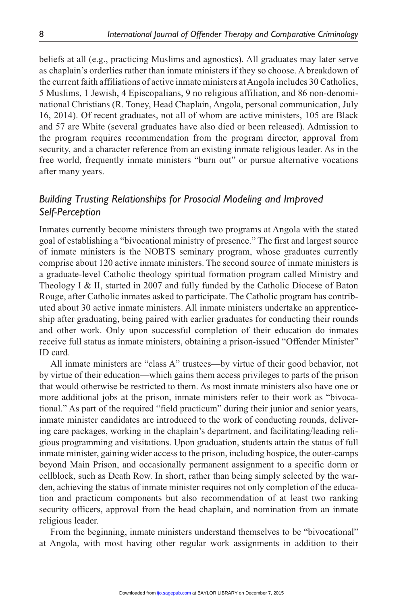beliefs at all (e.g., practicing Muslims and agnostics). All graduates may later serve as chaplain's orderlies rather than inmate ministers if they so choose. A breakdown of the current faith affiliations of active inmate ministers at Angola includes 30 Catholics, 5 Muslims, 1 Jewish, 4 Episcopalians, 9 no religious affiliation, and 86 non-denominational Christians (R. Toney, Head Chaplain, Angola, personal communication, July 16, 2014). Of recent graduates, not all of whom are active ministers, 105 are Black and 57 are White (several graduates have also died or been released). Admission to the program requires recommendation from the program director, approval from security, and a character reference from an existing inmate religious leader. As in the free world, frequently inmate ministers "burn out" or pursue alternative vocations after many years.

## *Building Trusting Relationships for Prosocial Modeling and Improved Self-Perception*

Inmates currently become ministers through two programs at Angola with the stated goal of establishing a "bivocational ministry of presence." The first and largest source of inmate ministers is the NOBTS seminary program, whose graduates currently comprise about 120 active inmate ministers. The second source of inmate ministers is a graduate-level Catholic theology spiritual formation program called Ministry and Theology I & II, started in 2007 and fully funded by the Catholic Diocese of Baton Rouge, after Catholic inmates asked to participate. The Catholic program has contributed about 30 active inmate ministers. All inmate ministers undertake an apprenticeship after graduating, being paired with earlier graduates for conducting their rounds and other work. Only upon successful completion of their education do inmates receive full status as inmate ministers, obtaining a prison-issued "Offender Minister" ID card.

All inmate ministers are "class A" trustees—by virtue of their good behavior, not by virtue of their education—which gains them access privileges to parts of the prison that would otherwise be restricted to them. As most inmate ministers also have one or more additional jobs at the prison, inmate ministers refer to their work as "bivocational." As part of the required "field practicum" during their junior and senior years, inmate minister candidates are introduced to the work of conducting rounds, delivering care packages, working in the chaplain's department, and facilitating/leading religious programming and visitations. Upon graduation, students attain the status of full inmate minister, gaining wider access to the prison, including hospice, the outer-camps beyond Main Prison, and occasionally permanent assignment to a specific dorm or cellblock, such as Death Row. In short, rather than being simply selected by the warden, achieving the status of inmate minister requires not only completion of the education and practicum components but also recommendation of at least two ranking security officers, approval from the head chaplain, and nomination from an inmate religious leader.

From the beginning, inmate ministers understand themselves to be "bivocational" at Angola, with most having other regular work assignments in addition to their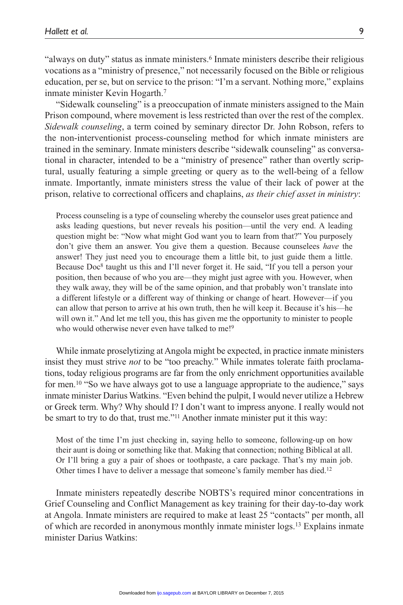"always on duty" status as inmate ministers.6 Inmate ministers describe their religious vocations as a "ministry of presence," not necessarily focused on the Bible or religious education, per se, but on service to the prison: "I'm a servant. Nothing more," explains inmate minister Kevin Hogarth.7

"Sidewalk counseling" is a preoccupation of inmate ministers assigned to the Main Prison compound, where movement is less restricted than over the rest of the complex. *Sidewalk counseling*, a term coined by seminary director Dr. John Robson, refers to the non-interventionist process-counseling method for which inmate ministers are trained in the seminary. Inmate ministers describe "sidewalk counseling" as conversational in character, intended to be a "ministry of presence" rather than overtly scriptural, usually featuring a simple greeting or query as to the well-being of a fellow inmate. Importantly, inmate ministers stress the value of their lack of power at the prison, relative to correctional officers and chaplains, *as their chief asset in ministry*:

Process counseling is a type of counseling whereby the counselor uses great patience and asks leading questions, but never reveals his position—until the very end. A leading question might be: "Now what might God want you to learn from that?" You purposely don't give them an answer. You give them a question. Because counselees *have* the answer! They just need you to encourage them a little bit, to just guide them a little. Because Doc8 taught us this and I'll never forget it. He said, "If you tell a person your position, then because of who you are—they might just agree with you. However, when they walk away, they will be of the same opinion, and that probably won't translate into a different lifestyle or a different way of thinking or change of heart. However—if you can allow that person to arrive at his own truth, then he will keep it. Because it's his—he will own it." And let me tell you, this has given me the opportunity to minister to people who would otherwise never even have talked to me!<sup>9</sup>

While inmate proselytizing at Angola might be expected, in practice inmate ministers insist they must strive *not* to be "too preachy." While inmates tolerate faith proclamations, today religious programs are far from the only enrichment opportunities available for men.<sup>10</sup> "So we have always got to use a language appropriate to the audience," says inmate minister Darius Watkins. "Even behind the pulpit, I would never utilize a Hebrew or Greek term. Why? Why should I? I don't want to impress anyone. I really would not be smart to try to do that, trust me."11 Another inmate minister put it this way:

Most of the time I'm just checking in, saying hello to someone, following-up on how their aunt is doing or something like that. Making that connection; nothing Biblical at all. Or I'll bring a guy a pair of shoes or toothpaste, a care package. That's my main job. Other times I have to deliver a message that someone's family member has died.12

Inmate ministers repeatedly describe NOBTS's required minor concentrations in Grief Counseling and Conflict Management as key training for their day-to-day work at Angola. Inmate ministers are required to make at least 25 "contacts" per month, all of which are recorded in anonymous monthly inmate minister logs.13 Explains inmate minister Darius Watkins: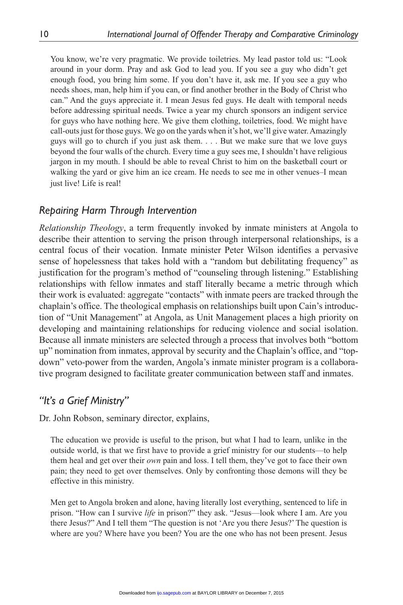You know, we're very pragmatic. We provide toiletries. My lead pastor told us: "Look around in your dorm. Pray and ask God to lead you. If you see a guy who didn't get enough food, you bring him some. If you don't have it, ask me. If you see a guy who needs shoes, man, help him if you can, or find another brother in the Body of Christ who can." And the guys appreciate it. I mean Jesus fed guys. He dealt with temporal needs before addressing spiritual needs. Twice a year my church sponsors an indigent service for guys who have nothing here. We give them clothing, toiletries, food. We might have call-outs just for those guys. We go on the yards when it's hot, we'll give water. Amazingly guys will go to church if you just ask them. . . . But we make sure that we love guys beyond the four walls of the church. Every time a guy sees me, I shouldn't have religious jargon in my mouth. I should be able to reveal Christ to him on the basketball court or walking the yard or give him an ice cream. He needs to see me in other venues–I mean just live! Life is real!

#### *Repairing Harm Through Intervention*

*Relationship Theology*, a term frequently invoked by inmate ministers at Angola to describe their attention to serving the prison through interpersonal relationships, is a central focus of their vocation. Inmate minister Peter Wilson identifies a pervasive sense of hopelessness that takes hold with a "random but debilitating frequency" as justification for the program's method of "counseling through listening." Establishing relationships with fellow inmates and staff literally became a metric through which their work is evaluated: aggregate "contacts" with inmate peers are tracked through the chaplain's office. The theological emphasis on relationships built upon Cain's introduction of "Unit Management" at Angola, as Unit Management places a high priority on developing and maintaining relationships for reducing violence and social isolation. Because all inmate ministers are selected through a process that involves both "bottom up" nomination from inmates, approval by security and the Chaplain's office, and "topdown" veto-power from the warden, Angola's inmate minister program is a collaborative program designed to facilitate greater communication between staff and inmates.

#### *"It's a Grief Ministry"*

Dr. John Robson, seminary director, explains,

The education we provide is useful to the prison, but what I had to learn, unlike in the outside world, is that we first have to provide a grief ministry for our students—to help them heal and get over their *own* pain and loss. I tell them, they've got to face their own pain; they need to get over themselves. Only by confronting those demons will they be effective in this ministry.

Men get to Angola broken and alone, having literally lost everything, sentenced to life in prison. "How can I survive *life* in prison?" they ask. "Jesus—look where I am. Are you there Jesus?" And I tell them "The question is not 'Are you there Jesus?' The question is where are you? Where have you been? You are the one who has not been present. Jesus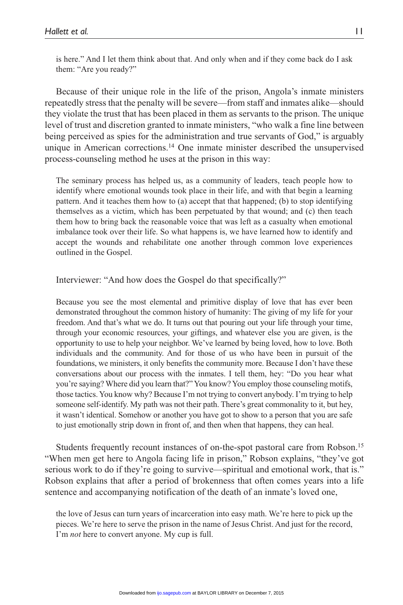is here." And I let them think about that. And only when and if they come back do I ask them: "Are you ready?"

Because of their unique role in the life of the prison, Angola's inmate ministers repeatedly stress that the penalty will be severe—from staff and inmates alike—should they violate the trust that has been placed in them as servants to the prison. The unique level of trust and discretion granted to inmate ministers, "who walk a fine line between being perceived as spies for the administration and true servants of God," is arguably unique in American corrections.14 One inmate minister described the unsupervised process-counseling method he uses at the prison in this way:

The seminary process has helped us, as a community of leaders, teach people how to identify where emotional wounds took place in their life, and with that begin a learning pattern. And it teaches them how to (a) accept that that happened; (b) to stop identifying themselves as a victim, which has been perpetuated by that wound; and (c) then teach them how to bring back the reasonable voice that was left as a casualty when emotional imbalance took over their life. So what happens is, we have learned how to identify and accept the wounds and rehabilitate one another through common love experiences outlined in the Gospel.

Interviewer: "And how does the Gospel do that specifically?"

Because you see the most elemental and primitive display of love that has ever been demonstrated throughout the common history of humanity: The giving of my life for your freedom. And that's what we do. It turns out that pouring out your life through your time, through your economic resources, your giftings, and whatever else you are given, is the opportunity to use to help your neighbor. We've learned by being loved, how to love. Both individuals and the community. And for those of us who have been in pursuit of the foundations, we ministers, it only benefits the community more. Because I don't have these conversations about our process with the inmates. I tell them, hey: "Do you hear what you're saying? Where did you learn that?" You know? You employ those counseling motifs, those tactics. You know why? Because I'm not trying to convert anybody. I'm trying to help someone self-identify. My path was not their path. There's great commonality to it, but hey, it wasn't identical. Somehow or another you have got to show to a person that you are safe to just emotionally strip down in front of, and then when that happens, they can heal.

Students frequently recount instances of on-the-spot pastoral care from Robson.15 "When men get here to Angola facing life in prison," Robson explains, "they've got serious work to do if they're going to survive—spiritual and emotional work, that is." Robson explains that after a period of brokenness that often comes years into a life sentence and accompanying notification of the death of an inmate's loved one,

the love of Jesus can turn years of incarceration into easy math. We're here to pick up the pieces. We're here to serve the prison in the name of Jesus Christ. And just for the record, I'm *not* here to convert anyone. My cup is full.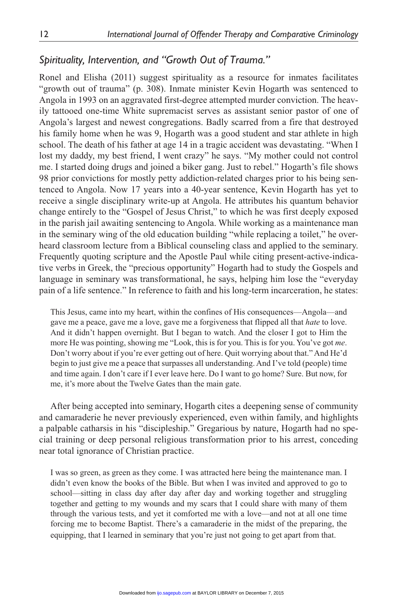#### *Spirituality, Intervention, and "Growth Out of Trauma."*

Ronel and Elisha (2011) suggest spirituality as a resource for inmates facilitates "growth out of trauma" (p. 308). Inmate minister Kevin Hogarth was sentenced to Angola in 1993 on an aggravated first-degree attempted murder conviction. The heavily tattooed one-time White supremacist serves as assistant senior pastor of one of Angola's largest and newest congregations. Badly scarred from a fire that destroyed his family home when he was 9, Hogarth was a good student and star athlete in high school. The death of his father at age 14 in a tragic accident was devastating. "When I lost my daddy, my best friend, I went crazy" he says. "My mother could not control me. I started doing drugs and joined a biker gang. Just to rebel." Hogarth's file shows 98 prior convictions for mostly petty addiction-related charges prior to his being sentenced to Angola. Now 17 years into a 40-year sentence, Kevin Hogarth has yet to receive a single disciplinary write-up at Angola. He attributes his quantum behavior change entirely to the "Gospel of Jesus Christ," to which he was first deeply exposed in the parish jail awaiting sentencing to Angola. While working as a maintenance man in the seminary wing of the old education building "while replacing a toilet," he overheard classroom lecture from a Biblical counseling class and applied to the seminary. Frequently quoting scripture and the Apostle Paul while citing present-active-indicative verbs in Greek, the "precious opportunity" Hogarth had to study the Gospels and language in seminary was transformational, he says, helping him lose the "everyday pain of a life sentence." In reference to faith and his long-term incarceration, he states:

This Jesus, came into my heart, within the confines of His consequences—Angola—and gave me a peace, gave me a love, gave me a forgiveness that flipped all that *hate* to love. And it didn't happen overnight. But I began to watch. And the closer I got to Him the more He was pointing, showing me "Look, this is for you. This is for you. You've got *me*. Don't worry about if you're ever getting out of here. Quit worrying about that." And He'd begin to just give me a peace that surpasses all understanding. And I've told (people) time and time again. I don't care if I ever leave here. Do I want to go home? Sure. But now, for me, it's more about the Twelve Gates than the main gate.

After being accepted into seminary, Hogarth cites a deepening sense of community and camaraderie he never previously experienced, even within family, and highlights a palpable catharsis in his "discipleship." Gregarious by nature, Hogarth had no special training or deep personal religious transformation prior to his arrest, conceding near total ignorance of Christian practice.

I was so green, as green as they come. I was attracted here being the maintenance man. I didn't even know the books of the Bible. But when I was invited and approved to go to school—sitting in class day after day after day and working together and struggling together and getting to my wounds and my scars that I could share with many of them through the various tests, and yet it comforted me with a love—and not at all one time forcing me to become Baptist. There's a camaraderie in the midst of the preparing, the equipping, that I learned in seminary that you're just not going to get apart from that.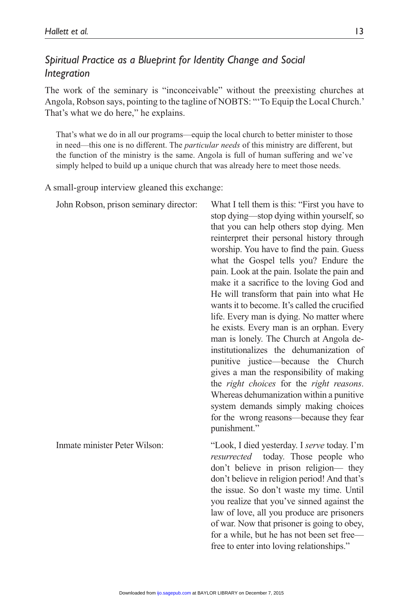# *Spiritual Practice as a Blueprint for Identity Change and Social Integration*

The work of the seminary is "inconceivable" without the preexisting churches at Angola, Robson says, pointing to the tagline of NOBTS: "'To Equip the Local Church.' That's what we do here," he explains.

That's what we do in all our programs—equip the local church to better minister to those in need—this one is no different. The *particular needs* of this ministry are different, but the function of the ministry is the same. Angola is full of human suffering and we've simply helped to build up a unique church that was already here to meet those needs.

A small-group interview gleaned this exchange:

| John Robson, prison seminary director: | What I tell them is this: "First you have to<br>stop dying-stop dying within yourself, so<br>that you can help others stop dying. Men<br>reinterpret their personal history through<br>worship. You have to find the pain. Guess<br>what the Gospel tells you? Endure the<br>pain. Look at the pain. Isolate the pain and<br>make it a sacrifice to the loving God and<br>He will transform that pain into what He<br>wants it to become. It's called the crucified<br>life. Every man is dying. No matter where<br>he exists. Every man is an orphan. Every<br>man is lonely. The Church at Angola de-<br>institutionalizes the dehumanization of<br>punitive justice—because the Church<br>gives a man the responsibility of making<br>the right choices for the right reasons.<br>Whereas dehumanization within a punitive<br>system demands simply making choices<br>for the wrong reasons—because they fear<br>punishment." |
|----------------------------------------|----------------------------------------------------------------------------------------------------------------------------------------------------------------------------------------------------------------------------------------------------------------------------------------------------------------------------------------------------------------------------------------------------------------------------------------------------------------------------------------------------------------------------------------------------------------------------------------------------------------------------------------------------------------------------------------------------------------------------------------------------------------------------------------------------------------------------------------------------------------------------------------------------------------------------------|
| Inmate minister Peter Wilson:          | "Look, I died yesterday. I serve today. I'm<br>resurrected today. Those people who<br>don't believe in prison religion— they<br>don't believe in religion period! And that's<br>the issue. So don't waste my time. Until<br>you realize that you've sinned against the<br>law of love, all you produce are prisoners<br>of war. Now that prisoner is going to obey,<br>for a while, but he has not been set free-<br>free to enter into loving relationships."                                                                                                                                                                                                                                                                                                                                                                                                                                                                   |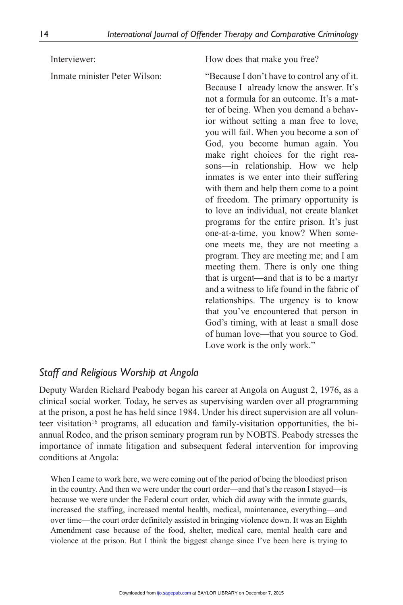Interviewer: How does that make you free?

Inmate minister Peter Wilson: "Because I don't have to control any of it. Because I already know the answer. It's not a formula for an outcome. It's a matter of being. When you demand a behavior without setting a man free to love, you will fail. When you become a son of God, you become human again. You make right choices for the right reasons—in relationship. How we help inmates is we enter into their suffering with them and help them come to a point of freedom. The primary opportunity is to love an individual, not create blanket programs for the entire prison. It's just one-at-a-time, you know? When someone meets me, they are not meeting a program. They are meeting me; and I am meeting them. There is only one thing that is urgent—and that is to be a martyr and a witness to life found in the fabric of relationships. The urgency is to know that you've encountered that person in God's timing, with at least a small dose of human love—that you source to God. Love work is the only work."

### *Staff and Religious Worship at Angola*

Deputy Warden Richard Peabody began his career at Angola on August 2, 1976, as a clinical social worker. Today, he serves as supervising warden over all programming at the prison, a post he has held since 1984. Under his direct supervision are all volunteer visitation<sup>16</sup> programs, all education and family-visitation opportunities, the biannual Rodeo, and the prison seminary program run by NOBTS. Peabody stresses the importance of inmate litigation and subsequent federal intervention for improving conditions at Angola:

When I came to work here, we were coming out of the period of being the bloodiest prison in the country. And then we were under the court order—and that's the reason I stayed—is because we were under the Federal court order, which did away with the inmate guards, increased the staffing, increased mental health, medical, maintenance, everything—and over time—the court order definitely assisted in bringing violence down. It was an Eighth Amendment case because of the food, shelter, medical care, mental health care and violence at the prison. But I think the biggest change since I've been here is trying to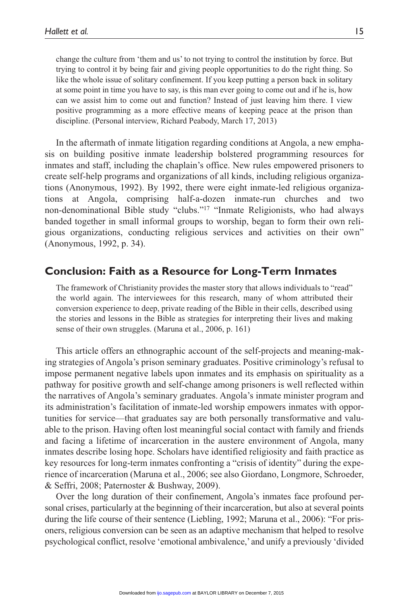change the culture from 'them and us' to not trying to control the institution by force. But trying to control it by being fair and giving people opportunities to do the right thing. So like the whole issue of solitary confinement. If you keep putting a person back in solitary at some point in time you have to say, is this man ever going to come out and if he is, how can we assist him to come out and function? Instead of just leaving him there. I view positive programming as a more effective means of keeping peace at the prison than discipline. (Personal interview, Richard Peabody, March 17, 2013)

In the aftermath of inmate litigation regarding conditions at Angola, a new emphasis on building positive inmate leadership bolstered programming resources for inmates and staff, including the chaplain's office. New rules empowered prisoners to create self-help programs and organizations of all kinds, including religious organizations (Anonymous, 1992). By 1992, there were eight inmate-led religious organizations at Angola, comprising half-a-dozen inmate-run churches and two non-denominational Bible study "clubs."17 "Inmate Religionists, who had always banded together in small informal groups to worship, began to form their own religious organizations, conducting religious services and activities on their own" (Anonymous, 1992, p. 34).

#### **Conclusion: Faith as a Resource for Long-Term Inmates**

The framework of Christianity provides the master story that allows individuals to "read" the world again. The interviewees for this research, many of whom attributed their conversion experience to deep, private reading of the Bible in their cells, described using the stories and lessons in the Bible as strategies for interpreting their lives and making sense of their own struggles. (Maruna et al., 2006, p. 161)

This article offers an ethnographic account of the self-projects and meaning-making strategies of Angola's prison seminary graduates. Positive criminology's refusal to impose permanent negative labels upon inmates and its emphasis on spirituality as a pathway for positive growth and self-change among prisoners is well reflected within the narratives of Angola's seminary graduates. Angola's inmate minister program and its administration's facilitation of inmate-led worship empowers inmates with opportunities for service—that graduates say are both personally transformative and valuable to the prison. Having often lost meaningful social contact with family and friends and facing a lifetime of incarceration in the austere environment of Angola, many inmates describe losing hope. Scholars have identified religiosity and faith practice as key resources for long-term inmates confronting a "crisis of identity" during the experience of incarceration (Maruna et al., 2006; see also Giordano, Longmore, Schroeder, & Seffri, 2008; Paternoster & Bushway, 2009).

Over the long duration of their confinement, Angola's inmates face profound personal crises, particularly at the beginning of their incarceration, but also at several points during the life course of their sentence (Liebling, 1992; Maruna et al., 2006): "For prisoners, religious conversion can be seen as an adaptive mechanism that helped to resolve psychological conflict, resolve 'emotional ambivalence,' and unify a previously 'divided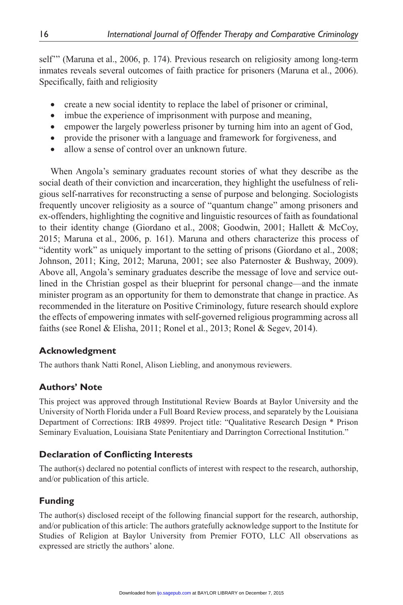self'" (Maruna et al., 2006, p. 174). Previous research on religiosity among long-term inmates reveals several outcomes of faith practice for prisoners (Maruna et al., 2006). Specifically, faith and religiosity

- create a new social identity to replace the label of prisoner or criminal,
- imbue the experience of imprisonment with purpose and meaning,
- empower the largely powerless prisoner by turning him into an agent of God,
- •• provide the prisoner with a language and framework for forgiveness, and
- allow a sense of control over an unknown future.

When Angola's seminary graduates recount stories of what they describe as the social death of their conviction and incarceration, they highlight the usefulness of religious self-narratives for reconstructing a sense of purpose and belonging. Sociologists frequently uncover religiosity as a source of "quantum change" among prisoners and ex-offenders, highlighting the cognitive and linguistic resources of faith as foundational to their identity change (Giordano et al., 2008; Goodwin, 2001; Hallett & McCoy, 2015; Maruna et al., 2006, p. 161). Maruna and others characterize this process of "identity work" as uniquely important to the setting of prisons (Giordano et al., 2008; Johnson, 2011; King, 2012; Maruna, 2001; see also Paternoster & Bushway, 2009). Above all, Angola's seminary graduates describe the message of love and service outlined in the Christian gospel as their blueprint for personal change—and the inmate minister program as an opportunity for them to demonstrate that change in practice. As recommended in the literature on Positive Criminology, future research should explore the effects of empowering inmates with self-governed religious programming across all faiths (see Ronel & Elisha, 2011; Ronel et al., 2013; Ronel & Segev, 2014).

#### **Acknowledgment**

The authors thank Natti Ronel, Alison Liebling, and anonymous reviewers.

#### **Authors' Note**

This project was approved through Institutional Review Boards at Baylor University and the University of North Florida under a Full Board Review process, and separately by the Louisiana Department of Corrections: IRB 49899. Project title: "Qualitative Research Design \* Prison Seminary Evaluation, Louisiana State Penitentiary and Darrington Correctional Institution."

#### **Declaration of Conflicting Interests**

The author(s) declared no potential conflicts of interest with respect to the research, authorship, and/or publication of this article.

#### **Funding**

The author(s) disclosed receipt of the following financial support for the research, authorship, and/or publication of this article: The authors gratefully acknowledge support to the Institute for Studies of Religion at Baylor University from Premier FOTO, LLC All observations as expressed are strictly the authors' alone.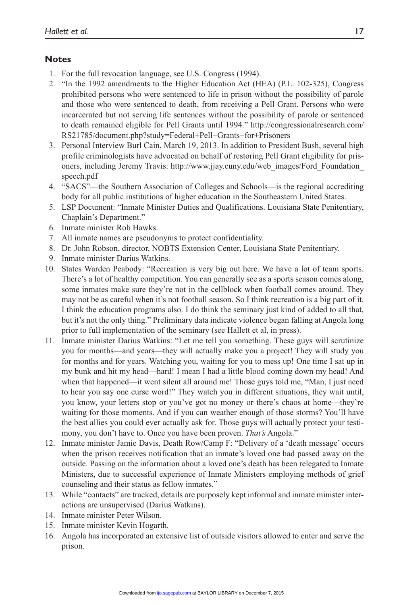#### **Notes**

- 1. For the full revocation language, see U.S. Congress (1994).
- 2. "In the 1992 amendments to the Higher Education Act (HEA) (P.L. 102-325), Congress prohibited persons who were sentenced to life in prison without the possibility of parole and those who were sentenced to death, from receiving a Pell Grant. Persons who were incarcerated but not serving life sentences without the possibility of parole or sentenced to death remained eligible for Pell Grants until 1994." [http://congressionalresearch.com/](http://congressionalresearch.com/RS21785/document.php?study=Federal+Pell+Grants+for+Prisoners) [RS21785/document.php?study=Federal+Pell+Grants+for+Prisoners](http://congressionalresearch.com/RS21785/document.php?study=Federal+Pell+Grants+for+Prisoners)
- 3. Personal Interview Burl Cain, March 19, 2013. In addition to President Bush, several high profile criminologists have advocated on behalf of restoring Pell Grant eligibility for prisoners, including Jeremy Travis: [http://www.jjay.cuny.edu/web\\_images/Ford\\_Foundation\\_](http://www.jjay.cuny.edu/web_images/Ford_Foundation_speech.pdf) [speech.pdf](http://www.jjay.cuny.edu/web_images/Ford_Foundation_speech.pdf)
- 4. "SACS"—the Southern Association of Colleges and Schools—is the regional accrediting body for all public institutions of higher education in the Southeastern United States.
- 5. LSP Document: "Inmate Minister Duties and Qualifications. Louisiana State Penitentiary, Chaplain's Department."
- 6. Inmate minister Rob Hawks.
- 7. All inmate names are pseudonyms to protect confidentiality.
- 8. Dr. John Robson, director, NOBTS Extension Center, Louisiana State Penitentiary.
- 9. Inmate minister Darius Watkins.
- 10. States Warden Peabody: "Recreation is very big out here. We have a lot of team sports. There's a lot of healthy competition. You can generally see as a sports season comes along, some inmates make sure they're not in the cellblock when football comes around. They may not be as careful when it's not football season. So I think recreation is a big part of it. I think the education programs also. I do think the seminary just kind of added to all that, but it's not the only thing." Preliminary data indicate violence began falling at Angola long prior to full implementation of the seminary (see Hallett et al, in press).
- 11. Inmate minister Darius Watkins: "Let me tell you something. These guys will scrutinize you for months—and years—they will actually make you a project! They will study you for months and for years. Watching you, waiting for you to mess up! One time I sat up in my bunk and hit my head—hard! I mean I had a little blood coming down my head! And when that happened—it went silent all around me! Those guys told me, "Man, I just need to hear you say one curse word!" They watch you in different situations, they wait until, you know, your letters stop or you've got no money or there's chaos at home—they're waiting for those moments. And if you can weather enough of those storms? You'll have the best allies you could ever actually ask for. Those guys will actually protect your testimony, you don't have to. Once you have been proven. *That's* Angola."
- 12. Inmate minister Jamie Davis, Death Row/Camp F: "Delivery of a 'death message' occurs when the prison receives notification that an inmate's loved one had passed away on the outside. Passing on the information about a loved one's death has been relegated to Inmate Ministers, due to successful experience of Inmate Ministers employing methods of grief counseling and their status as fellow inmates."
- 13. While "contacts" are tracked, details are purposely kept informal and inmate minister interactions are unsupervised (Darius Watkins).
- 14. Inmate minister Peter Wilson.
- 15. Inmate minister Kevin Hogarth.
- 16. Angola has incorporated an extensive list of outside visitors allowed to enter and serve the prison.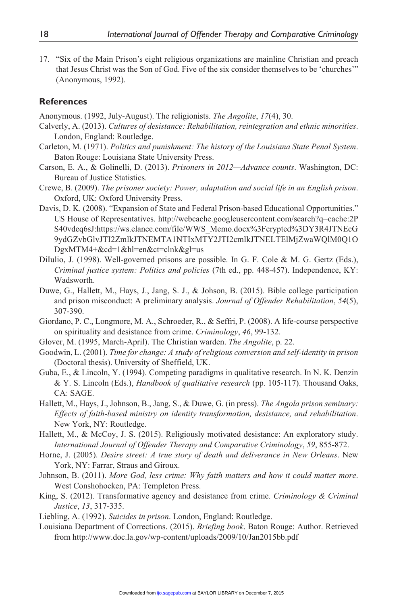17. "Six of the Main Prison's eight religious organizations are mainline Christian and preach that Jesus Christ was the Son of God. Five of the six consider themselves to be 'churches'" (Anonymous, 1992).

#### **References**

Anonymous. (1992, July-August). The religionists. *The Angolite*, *17*(4), 30.

- Calverly, A. (2013). *Cultures of desistance: Rehabilitation, reintegration and ethnic minorities*. London, England: Routledge.
- Carleton, M. (1971). *Politics and punishment: The history of the Louisiana State Penal System*. Baton Rouge: Louisiana State University Press.
- Carson, E. A., & Golinelli, D. (2013). *Prisoners in 2012—Advance counts*. Washington, DC: Bureau of Justice Statistics.
- Crewe, B. (2009). *The prisoner society: Power, adaptation and social life in an English prison*. Oxford, UK: Oxford University Press.
- Davis, D. K. (2008). "Expansion of State and Federal Prison-based Educational Opportunities." US House of Representatives. http://webcache.googleusercontent.com/search?q=cache:2P S40vdeq6sJ:https://ws.elance.com/file/WWS\_Memo.docx%3Fcrypted%3DY3R4JTNEcG 9ydGZvbGlvJTI2ZmlkJTNEMTA1NTIxMTY2JTI2cmlkJTNELTElMjZwaWQlM0Q1O DgxMTM4+&cd=1&hl=en&ct=clnk&gl=us
- DiIulio, J. (1998). Well-governed prisons are possible. In G. F. Cole & M. G. Gertz (Eds.), *Criminal justice system: Politics and policies* (7th ed., pp. 448-457). Independence, KY: Wadsworth.
- Duwe, G., Hallett, M., Hays, J., Jang, S. J., & Johson, B. (2015). Bible college participation and prison misconduct: A preliminary analysis. *Journal of Offender Rehabilitation*, *54*(5), 307-390.
- Giordano, P. C., Longmore, M. A., Schroeder, R., & Seffri, P. (2008). A life-course perspective on spirituality and desistance from crime. *Criminology*, *46*, 99-132.
- Glover, M. (1995, March-April). The Christian warden. *The Angolite*, p. 22.
- Goodwin, L. (2001). *Time for change: A study of religious conversion and self-identity in prison* (Doctoral thesis). University of Sheffield, UK.
- Guba, E., & Lincoln, Y. (1994). Competing paradigms in qualitative research. In N. K. Denzin & Y. S. Lincoln (Eds.), *Handbook of qualitative research* (pp. 105-117). Thousand Oaks, CA: SAGE.
- Hallett, M., Hays, J., Johnson, B., Jang, S., & Duwe, G. (in press). *The Angola prison seminary: Effects of faith-based ministry on identity transformation, desistance, and rehabilitation*. New York, NY: Routledge.
- Hallett, M., & McCoy, J. S. (2015). Religiously motivated desistance: An exploratory study. *International Journal of Offender Therapy and Comparative Criminology*, *59*, 855-872.
- Horne, J. (2005). *Desire street: A true story of death and deliverance in New Orleans*. New York, NY: Farrar, Straus and Giroux.
- Johnson, B. (2011). *More God, less crime: Why faith matters and how it could matter more*. West Conshohocken, PA: Templeton Press.
- King, S. (2012). Transformative agency and desistance from crime. *Criminology & Criminal Justice*, *13*, 317-335.
- Liebling, A. (1992). *Suicides in prison*. London, England: Routledge.
- Louisiana Department of Corrections. (2015). *Briefing book*. Baton Rouge: Author. Retrieved from <http://www.doc.la.gov/wp-content/uploads/2009/10/Jan2015bb.pdf>